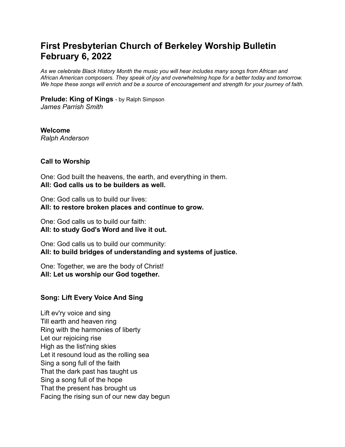# **First Presbyterian Church of Berkeley Worship Bulletin February 6, 2022**

*As we celebrate Black History Month the music you will hear includes many songs from African and African American composers. They speak of joy and overwhelming hope for a better today and tomorrow.* We hope these songs will enrich and be a source of encouragement and strength for your journey of faith.

**Prelude: King of Kings** - by Ralph Simpson *James Parrish Smith*

**Welcome** *Ralph Anderson*

#### **Call to Worship**

One: God built the heavens, the earth, and everything in them. **All: God calls us to be builders as well.**

One: God calls us to build our lives: **All: to restore broken places and continue to grow.**

One: God calls us to build our faith: **All: to study God's Word and live it out.**

One: God calls us to build our community: **All: to build bridges of understanding and systems of justice.**

One: Together, we are the body of Christ! **All: Let us worship our God together.**

### **Song: Lift Every Voice And Sing**

Lift ev'ry voice and sing Till earth and heaven ring Ring with the harmonies of liberty Let our rejoicing rise High as the list'ning skies Let it resound loud as the rolling sea Sing a song full of the faith That the dark past has taught us Sing a song full of the hope That the present has brought us Facing the rising sun of our new day begun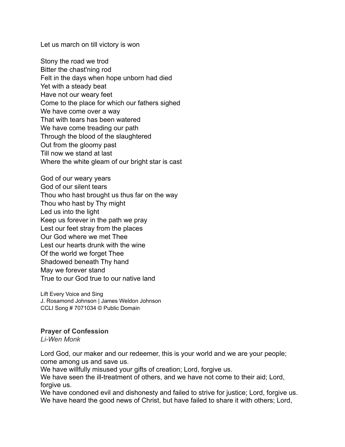Let us march on till victory is won

Stony the road we trod Bitter the chast'ning rod Felt in the days when hope unborn had died Yet with a steady beat Have not our weary feet Come to the place for which our fathers sighed We have come over a way That with tears has been watered We have come treading our path Through the blood of the slaughtered Out from the gloomy past Till now we stand at last Where the white gleam of our bright star is cast

God of our weary years God of our silent tears Thou who hast brought us thus far on the way Thou who hast by Thy might Led us into the light Keep us forever in the path we pray Lest our feet stray from the places Our God where we met Thee Lest our hearts drunk with the wine Of the world we forget Thee Shadowed beneath Thy hand May we forever stand True to our God true to our native land

Lift Every Voice and Sing J. Rosamond Johnson | James Weldon Johnson CCLI Song # 7071034 © Public Domain

### **Prayer of Confession**

*Li-Wen Monk*

Lord God, our maker and our redeemer, this is your world and we are your people; come among us and save us.

We have willfully misused your gifts of creation; Lord, forgive us.

We have seen the ill-treatment of others, and we have not come to their aid; Lord, forgive us.

We have condoned evil and dishonesty and failed to strive for justice; Lord, forgive us. We have heard the good news of Christ, but have failed to share it with others; Lord,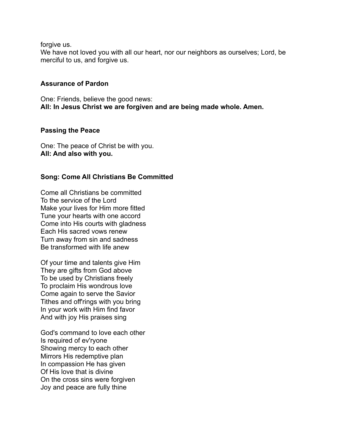forgive us.

We have not loved you with all our heart, nor our neighbors as ourselves; Lord, be merciful to us, and forgive us.

## **Assurance of Pardon**

One: Friends, believe the good news: **All: In Jesus Christ we are forgiven and are being made whole. Amen.**

## **Passing the Peace**

One: The peace of Christ be with you. **All: And also with you.**

## **Song: Come All Christians Be Committed**

Come all Christians be committed To the service of the Lord Make your lives for Him more fitted Tune your hearts with one accord Come into His courts with gladness Each His sacred vows renew Turn away from sin and sadness Be transformed with life anew

Of your time and talents give Him They are gifts from God above To be used by Christians freely To proclaim His wondrous love Come again to serve the Savior Tithes and off'rings with you bring In your work with Him find favor And with joy His praises sing

God's command to love each other Is required of ev'ryone Showing mercy to each other Mirrors His redemptive plan In compassion He has given Of His love that is divine On the cross sins were forgiven Joy and peace are fully thine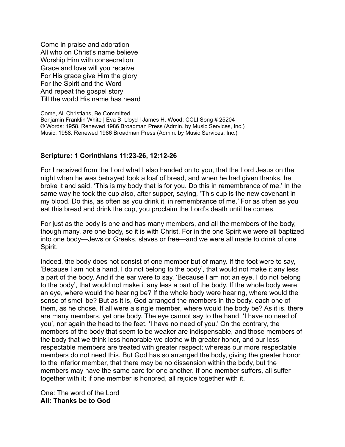Come in praise and adoration All who on Christ's name believe Worship Him with consecration Grace and love will you receive For His grace give Him the glory For the Spirit and the Word And repeat the gospel story Till the world His name has heard

Come, All Christians, Be Committed Benjamin Franklin White | Eva B. Lloyd | James H. Wood; CCLI Song # 25204 © Words: 1958. Renewed 1986 Broadman Press (Admin. by Music Services, Inc.) Music: 1958. Renewed 1986 Broadman Press (Admin. by Music Services, Inc.)

### **Scripture: 1 Corinthians 11:23-26, 12:12-26**

For I received from the Lord what I also handed on to you, that the Lord Jesus on the night when he was betrayed took a loaf of bread, and when he had given thanks, he broke it and said, 'This is my body that is for you. Do this in remembrance of me.' In the same way he took the cup also, after supper, saying, 'This cup is the new covenant in my blood. Do this, as often as you drink it, in remembrance of me.' For as often as you eat this bread and drink the cup, you proclaim the Lord's death until he comes.

For just as the body is one and has many members, and all the members of the body, though many, are one body, so it is with Christ. For in the one Spirit we were all baptized into one body—Jews or Greeks, slaves or free—and we were all made to drink of one Spirit.

Indeed, the body does not consist of one member but of many. If the foot were to say, 'Because I am not a hand, I do not belong to the body', that would not make it any less a part of the body. And if the ear were to say, 'Because I am not an eye, I do not belong to the body', that would not make it any less a part of the body. If the whole body were an eye, where would the hearing be? If the whole body were hearing, where would the sense of smell be? But as it is, God arranged the members in the body, each one of them, as he chose. If all were a single member, where would the body be? As it is, there are many members, yet one body. The eye cannot say to the hand, 'I have no need of you', nor again the head to the feet, 'I have no need of you.' On the contrary, the members of the body that seem to be weaker are indispensable, and those members of the body that we think less honorable we clothe with greater honor, and our less respectable members are treated with greater respect; whereas our more respectable members do not need this. But God has so arranged the body, giving the greater honor to the inferior member, that there may be no dissension within the body, but the members may have the same care for one another. If one member suffers, all suffer together with it; if one member is honored, all rejoice together with it.

One: The word of the Lord **All: Thanks be to God**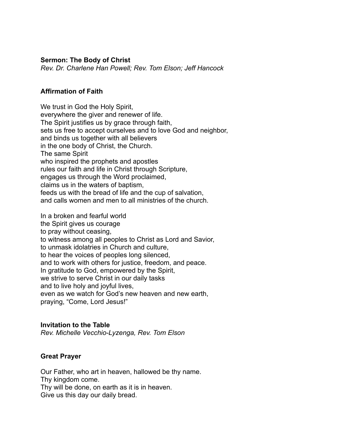#### **Sermon: The Body of Christ**

*Rev. Dr. Charlene Han Powell; Rev. Tom Elson; Jeff Hancock*

## **Affirmation of Faith**

We trust in God the Holy Spirit, everywhere the giver and renewer of life. The Spirit justifies us by grace through faith, sets us free to accept ourselves and to love God and neighbor, and binds us together with all believers in the one body of Christ, the Church. The same Spirit who inspired the prophets and apostles rules our faith and life in Christ through Scripture, engages us through the Word proclaimed, claims us in the waters of baptism, feeds us with the bread of life and the cup of salvation, and calls women and men to all ministries of the church.

In a broken and fearful world the Spirit gives us courage to pray without ceasing, to witness among all peoples to Christ as Lord and Savior, to unmask idolatries in Church and culture, to hear the voices of peoples long silenced, and to work with others for justice, freedom, and peace. In gratitude to God, empowered by the Spirit, we strive to serve Christ in our daily tasks and to live holy and joyful lives, even as we watch for God's new heaven and new earth, praying, "Come, Lord Jesus!"

### **Invitation to the Table**

*Rev. Michelle Vecchio-Lyzenga, Rev. Tom Elson*

### **Great Prayer**

Our Father, who art in heaven, hallowed be thy name. Thy kingdom come. Thy will be done, on earth as it is in heaven. Give us this day our daily bread.